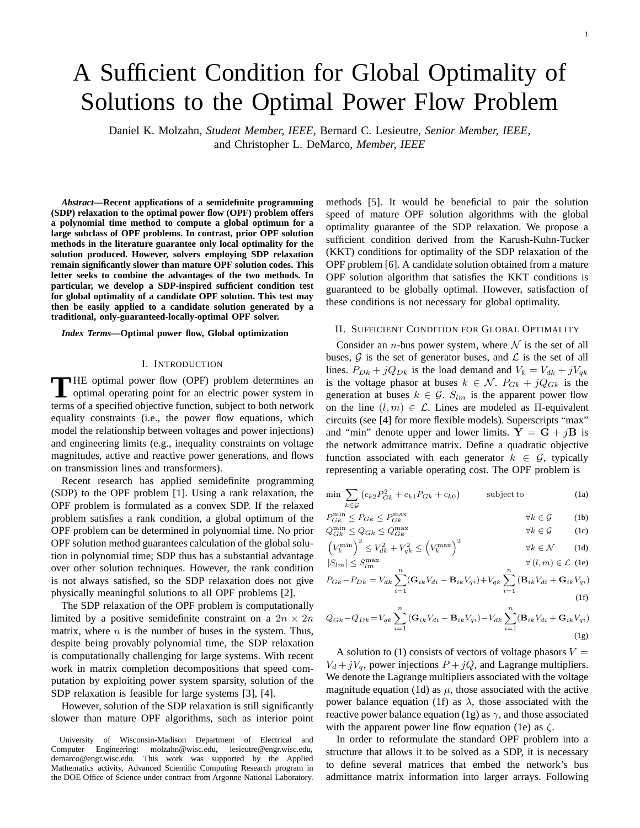# A Sufficient Condition for Global Optimality of Solutions to the Optimal Power Flow Problem

Daniel K. Molzahn, *Student Member, IEEE*, Bernard C. Lesieutre, *Senior Member, IEEE*, and Christopher L. DeMarco, *Member, IEEE*

*Abstract***—Recent applications of a semidefinite programming (SDP) relaxation to the optimal power flow (OPF) problem offers a polynomial time method to compute a global optimum for a large subclass of OPF problems. In contrast, prior OPF solution methods in the literature guarantee only local optimality for the solution produced. However, solvers employing SDP relaxation remain significantly slower than mature OPF solution codes. This letter seeks to combine the advantages of the two methods. In particular, we develop a SDP-inspired sufficient condition test for global optimality of a candidate OPF solution. This test may then be easily applied to a candidate solution generated by a traditional, only-guaranteed-locally-optimal OPF solver.**

#### *Index Terms***—Optimal power flow, Global optimization**

#### I. INTRODUCTION

THE optimal power flow (OPF) problem determines an optimal operating point for an electric power system in optimal operating point for an electric power system in terms of a specified objective function, subject to both network equality constraints (i.e., the power flow equations, which model the relationship between voltages and power injections) and engineering limits (e.g., inequality constraints on voltage magnitudes, active and reactive power generations, and flows on transmission lines and transformers).

Recent research has applied semidefinite programming (SDP) to the OPF problem [1]. Using a rank relaxation, the OPF problem is formulated as a convex SDP. If the relaxed problem satisfies a rank condition, a global optimum of the OPF problem can be determined in polynomial time. No prior OPF solution method guarantees calculation of the global solution in polynomial time; SDP thus has a substantial advantage over other solution techniques. However, the rank condition is not always satisfied, so the SDP relaxation does not give physically meaningful solutions to all OPF problems [2].

The SDP relaxation of the OPF problem is computationally limited by a positive semidefinite constraint on a  $2n \times 2n$ matrix, where  $n$  is the number of buses in the system. Thus, despite being provably polynomial time, the SDP relaxation is computationally challenging for large systems. With recent work in matrix completion decompositions that speed computation by exploiting power system sparsity, solution of the SDP relaxation is feasible for large systems [3], [4].

However, solution of the SDP relaxation is still significantly slower than mature OPF algorithms, such as interior point methods [5]. It would be beneficial to pair the solution speed of mature OPF solution algorithms with the global optimality guarantee of the SDP relaxation. We propose a sufficient condition derived from the Karush-Kuhn-Tucker (KKT) conditions for optimality of the SDP relaxation of the OPF problem [6]. A candidate solution obtained from a mature OPF solution algorithm that satisfies the KKT conditions is guaranteed to be globally optimal. However, satisfaction of these conditions is not necessary for global optimality.

## II. SUFFICIENT CONDITION FOR GLOBAL OPTIMALITY

Consider an *n*-bus power system, where  $N$  is the set of all buses,  $G$  is the set of generator buses, and  $\mathcal L$  is the set of all lines.  $P_{Dk} + jQ_{Dk}$  is the load demand and  $V_k = V_{dk} + jV_{qk}$ is the voltage phasor at buses  $k \in \mathcal{N}$ .  $P_{Gk} + jQ_{Gk}$  is the generation at buses  $k \in \mathcal{G}$ .  $S_{lm}$  is the apparent power flow on the line  $(l, m) \in \mathcal{L}$ . Lines are modeled as  $\Pi$ -equivalent circuits (see [4] for more flexible models). Superscripts "max" and "min" denote upper and lower limits.  $Y = G + iB$  is the network admittance matrix. Define a quadratic objective function associated with each generator  $k \in \mathcal{G}$ , typically representing a variable operating cost. The OPF problem is

$$
\min \sum_{k \in \mathcal{G}} \left( c_{k2} P_{Gk}^2 + c_{k1} P_{Gk} + c_{k0} \right) \qquad \text{subject to} \tag{1a}
$$

$$
P_{Gk}^{\min} \le P_{Gk} \le P_{Gk}^{\max} \qquad \qquad \forall k \in \mathcal{G} \qquad (1b)
$$

$$
Q_{Gk}^{\min} \le Q_{Gk} \le Q_{Gk}^{\max} \qquad \qquad \forall k \in \mathcal{G} \qquad \text{(1c)}
$$

$$
\left(V_k^{\min}\right)^2 \le V_{dk}^2 + V_{qk}^2 \le \left(V_k^{\max}\right)^2 \qquad \forall k \in \mathcal{N} \qquad (1d)
$$

$$
|S_{lm}| \le S_{lm}^{\max} \qquad \qquad \forall (l,m) \in \mathcal{L} \text{ (1e)}
$$

$$
P_{Gk} - P_{Dk} = V_{dk} \sum_{i=1}^{n} (\mathbf{G}_{ik} V_{di} - \mathbf{B}_{ik} V_{qi}) + V_{qk} \sum_{i=1}^{n} (\mathbf{B}_{ik} V_{di} + \mathbf{G}_{ik} V_{qi})
$$
\n(1f)

$$
Q_{Gk} - Q_{Dk} = V_{qk} \sum_{i=1}^{n} (\mathbf{G}_{ik} V_{di} - \mathbf{B}_{ik} V_{qi}) - V_{dk} \sum_{i=1}^{n} (\mathbf{B}_{ik} V_{di} + \mathbf{G}_{ik} V_{qi})
$$
\n(1g)

A solution to (1) consists of vectors of voltage phasors  $V =$  $V_d + jV_q$ , power injections  $P + jQ$ , and Lagrange multipliers. We denote the Lagrange multipliers associated with the voltage magnitude equation (1d) as  $\mu$ , those associated with the active power balance equation (1f) as  $\lambda$ , those associated with the reactive power balance equation (1g) as  $\gamma$ , and those associated with the apparent power line flow equation (1e) as  $\zeta$ .

In order to reformulate the standard OPF problem into a structure that allows it to be solved as a SDP, it is necessary to define several matrices that embed the network's bus admittance matrix information into larger arrays. Following

University of Wisconsin-Madison Department of Electrical and Computer Engineering: molzahn@wisc.edu, lesieutre@engr.wisc.edu, demarco@engr.wisc.edu. This work was supported by the Applied Mathematics activity, Advanced Scientific Computing Research program in the DOE Office of Science under contract from Argonne National Laboratory.